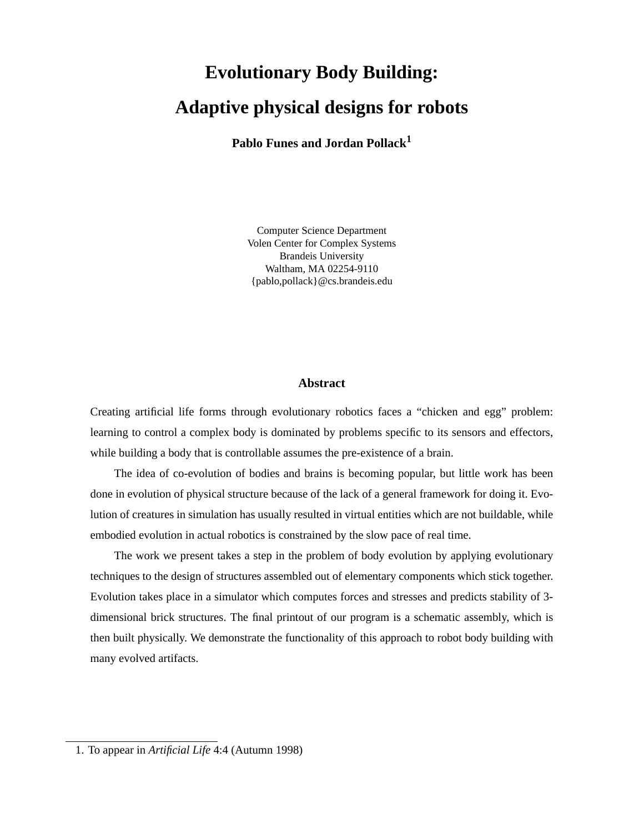# **Evolutionary Body Building: Adaptive physical designs for robots**

**Pablo Funes and Jordan Pollack<sup>1</sup>**

Computer Science Department Volen Center for Complex Systems Brandeis University Waltham, MA 02254-9110 {pablo,pollack}@cs.brandeis.edu

### **Abstract**

Creating artificial life forms through evolutionary robotics faces a "chicken and egg" problem: learning to control a complex body is dominated by problems specific to its sensors and effectors, while building a body that is controllable assumes the pre-existence of a brain.

The idea of co-evolution of bodies and brains is becoming popular, but little work has been done in evolution of physical structure because of the lack of a general framework for doing it. Evolution of creatures in simulation has usually resulted in virtual entities which are not buildable, while embodied evolution in actual robotics is constrained by the slow pace of real time.

The work we present takes a step in the problem of body evolution by applying evolutionary techniques to the design of structures assembled out of elementary components which stick together. Evolution takes place in a simulator which computes forces and stresses and predicts stability of 3 dimensional brick structures. The final printout of our program is a schematic assembly, which is then built physically. We demonstrate the functionality of this approach to robot body building with many evolved artifacts.

<sup>1.</sup> To appear in *Artificial Life* 4:4 (Autumn 1998)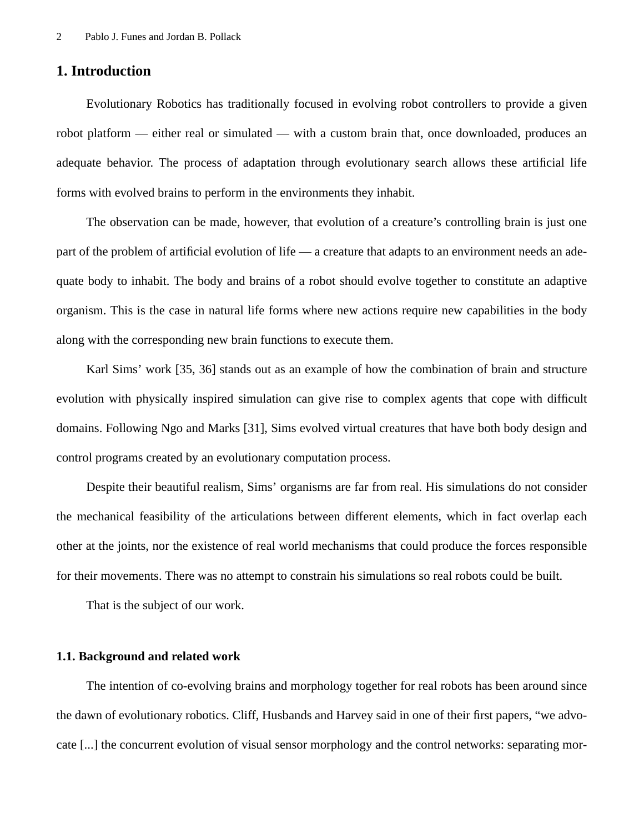# **1. Introduction**

Evolutionary Robotics has traditionally focused in evolving robot controllers to provide a given robot platform — either real or simulated — with a custom brain that, once downloaded, produces an adequate behavior. The process of adaptation through evolutionary search allows these artificial life forms with evolved brains to perform in the environments they inhabit.

The observation can be made, however, that evolution of a creature's controlling brain is just one part of the problem of artificial evolution of life — a creature that adapts to an environment needs an adequate body to inhabit. The body and brains of a robot should evolve together to constitute an adaptive organism. This is the case in natural life forms where new actions require new capabilities in the body along with the corresponding new brain functions to execute them.

Karl Sims' work [35, 36] stands out as an example of how the combination of brain and structure evolution with physically inspired simulation can give rise to complex agents that cope with difficult domains. Following Ngo and Marks [31], Sims evolved virtual creatures that have both body design and control programs created by an evolutionary computation process.

Despite their beautiful realism, Sims' organisms are far from real. His simulations do not consider the mechanical feasibility of the articulations between different elements, which in fact overlap each other at the joints, nor the existence of real world mechanisms that could produce the forces responsible for their movements. There was no attempt to constrain his simulations so real robots could be built.

That is the subject of our work.

# **1.1. Background and related work**

The intention of co-evolving brains and morphology together for real robots has been around since the dawn of evolutionary robotics. Cliff, Husbands and Harvey said in one of their first papers, "we advocate [...] the concurrent evolution of visual sensor morphology and the control networks: separating mor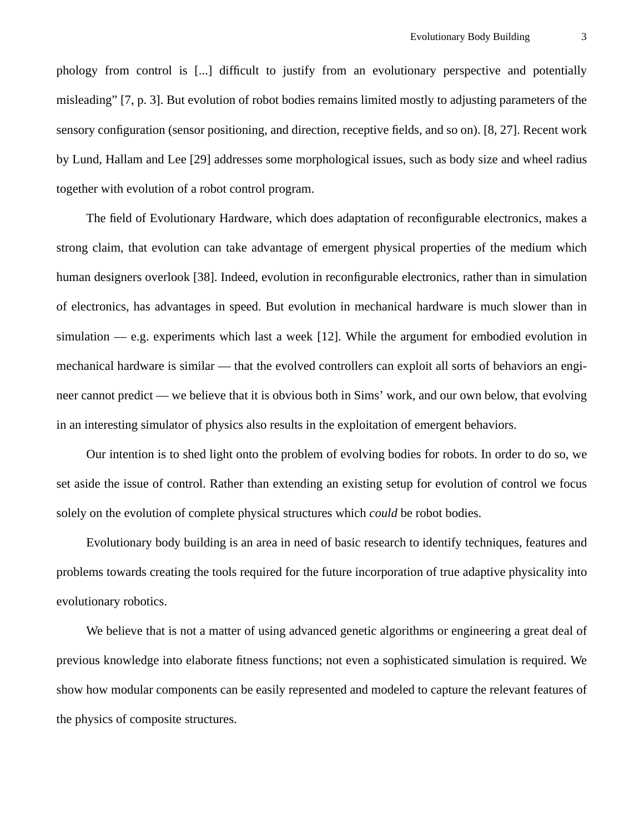phology from control is [...] difficult to justify from an evolutionary perspective and potentially misleading" [7, p. 3]. But evolution of robot bodies remains limited mostly to adjusting parameters of the sensory configuration (sensor positioning, and direction, receptive fields, and so on). [8, 27]. Recent work by Lund, Hallam and Lee [29] addresses some morphological issues, such as body size and wheel radius together with evolution of a robot control program.

The field of Evolutionary Hardware, which does adaptation of reconfigurable electronics, makes a strong claim, that evolution can take advantage of emergent physical properties of the medium which human designers overlook [38]. Indeed, evolution in reconfigurable electronics, rather than in simulation of electronics, has advantages in speed. But evolution in mechanical hardware is much slower than in simulation — e.g. experiments which last a week [12]. While the argument for embodied evolution in mechanical hardware is similar — that the evolved controllers can exploit all sorts of behaviors an engineer cannot predict — we believe that it is obvious both in Sims' work, and our own below, that evolving in an interesting simulator of physics also results in the exploitation of emergent behaviors.

Our intention is to shed light onto the problem of evolving bodies for robots. In order to do so, we set aside the issue of control. Rather than extending an existing setup for evolution of control we focus solely on the evolution of complete physical structures which *could* be robot bodies.

Evolutionary body building is an area in need of basic research to identify techniques, features and problems towards creating the tools required for the future incorporation of true adaptive physicality into evolutionary robotics.

We believe that is not a matter of using advanced genetic algorithms or engineering a great deal of previous knowledge into elaborate fitness functions; not even a sophisticated simulation is required. We show how modular components can be easily represented and modeled to capture the relevant features of the physics of composite structures.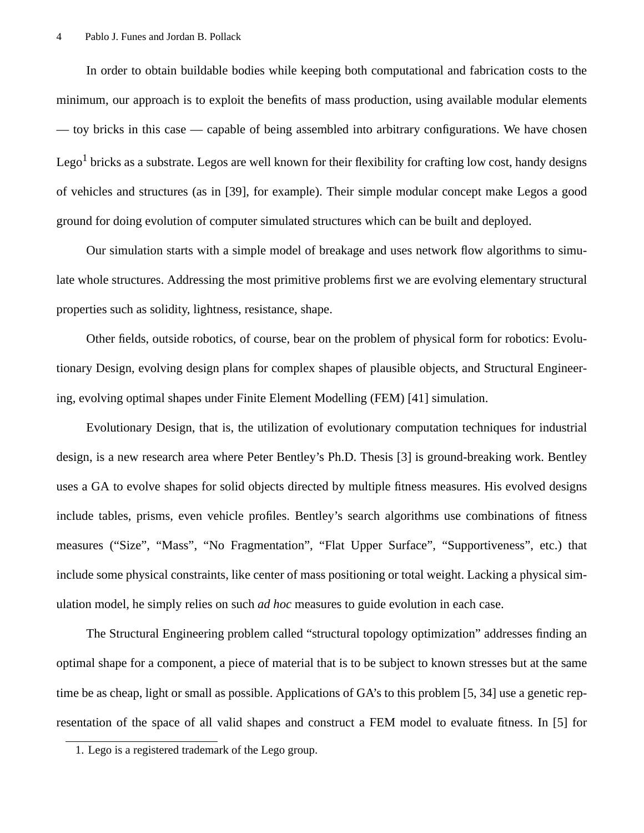In order to obtain buildable bodies while keeping both computational and fabrication costs to the minimum, our approach is to exploit the benefits of mass production, using available modular elements — toy bricks in this case — capable of being assembled into arbitrary configurations. We have chosen Lego<sup>1</sup> bricks as a substrate. Legos are well known for their flexibility for crafting low cost, handy designs of vehicles and structures (as in [39], for example). Their simple modular concept make Legos a good ground for doing evolution of computer simulated structures which can be built and deployed.

Our simulation starts with a simple model of breakage and uses network flow algorithms to simulate whole structures. Addressing the most primitive problems first we are evolving elementary structural properties such as solidity, lightness, resistance, shape.

Other fields, outside robotics, of course, bear on the problem of physical form for robotics: Evolutionary Design, evolving design plans for complex shapes of plausible objects, and Structural Engineering, evolving optimal shapes under Finite Element Modelling (FEM) [41] simulation.

Evolutionary Design, that is, the utilization of evolutionary computation techniques for industrial design, is a new research area where Peter Bentley's Ph.D. Thesis [3] is ground-breaking work. Bentley uses a GA to evolve shapes for solid objects directed by multiple fitness measures. His evolved designs include tables, prisms, even vehicle profiles. Bentley's search algorithms use combinations of fitness measures ("Size", "Mass", "No Fragmentation", "Flat Upper Surface", "Supportiveness", etc.) that include some physical constraints, like center of mass positioning or total weight. Lacking a physical simulation model, he simply relies on such *ad hoc* measures to guide evolution in each case.

The Structural Engineering problem called "structural topology optimization" addresses finding an optimal shape for a component, a piece of material that is to be subject to known stresses but at the same time be as cheap, light or small as possible. Applications of GA's to this problem [5, 34] use a genetic representation of the space of all valid shapes and construct a FEM model to evaluate fitness. In [5] for

<sup>1.</sup> Lego is a registered trademark of the Lego group.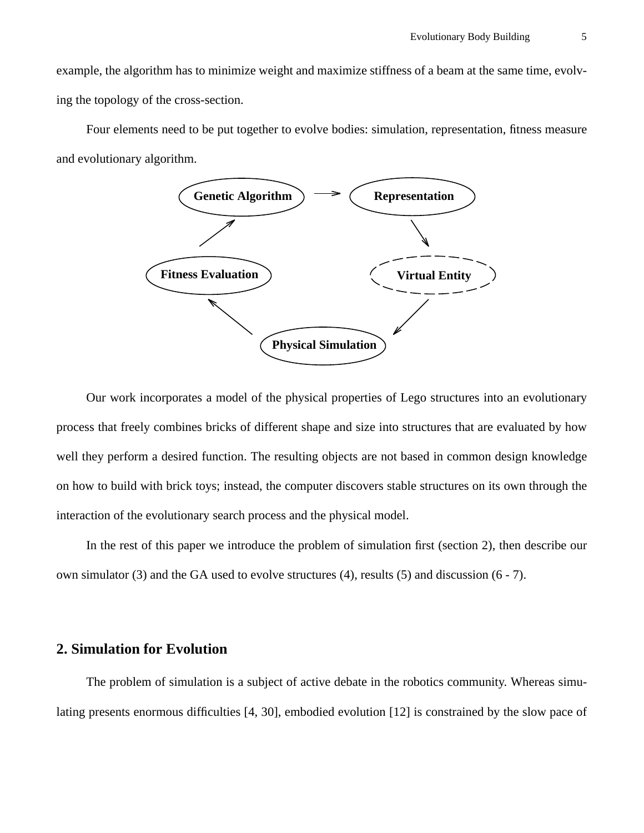example, the algorithm has to minimize weight and maximize stiffness of a beam at the same time, evolving the topology of the cross-section.

Four elements need to be put together to evolve bodies: simulation, representation, fitness measure and evolutionary algorithm.



Our work incorporates a model of the physical properties of Lego structures into an evolutionary process that freely combines bricks of different shape and size into structures that are evaluated by how well they perform a desired function. The resulting objects are not based in common design knowledge on how to build with brick toys; instead, the computer discovers stable structures on its own through the interaction of the evolutionary search process and the physical model.

In the rest of this paper we introduce the problem of simulation first (section 2), then describe our own simulator (3) and the GA used to evolve structures (4), results (5) and discussion  $(6 - 7)$ .

# **2. Simulation for Evolution**

The problem of simulation is a subject of active debate in the robotics community. Whereas simulating presents enormous difficulties [4, 30], embodied evolution [12] is constrained by the slow pace of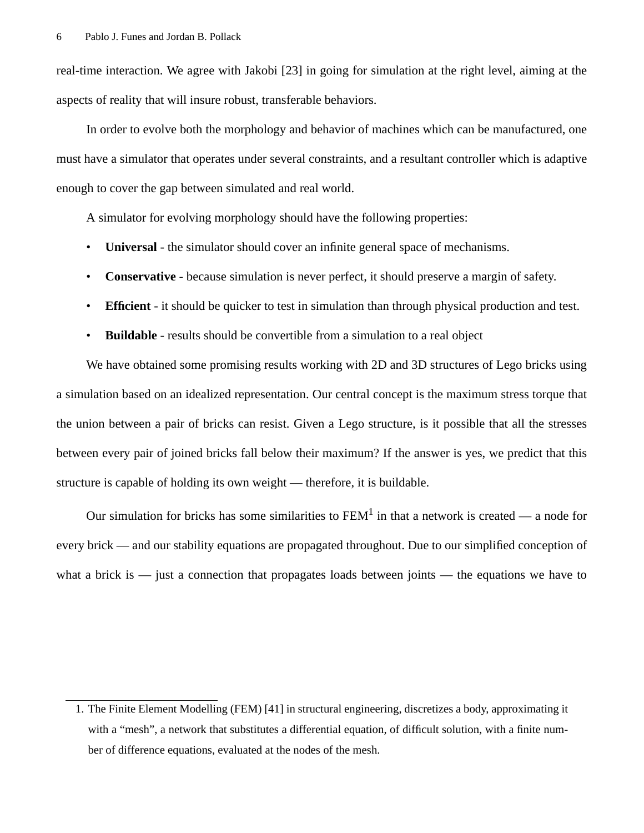real-time interaction. We agree with Jakobi [23] in going for simulation at the right level, aiming at the aspects of reality that will insure robust, transferable behaviors.

In order to evolve both the morphology and behavior of machines which can be manufactured, one must have a simulator that operates under several constraints, and a resultant controller which is adaptive enough to cover the gap between simulated and real world.

A simulator for evolving morphology should have the following properties:

- **Universal** the simulator should cover an infinite general space of mechanisms.
- **Conservative** because simulation is never perfect, it should preserve a margin of safety.
- **Efficient** it should be quicker to test in simulation than through physical production and test.
- **Buildable** results should be convertible from a simulation to a real object

We have obtained some promising results working with 2D and 3D structures of Lego bricks using a simulation based on an idealized representation. Our central concept is the maximum stress torque that the union between a pair of bricks can resist. Given a Lego structure, is it possible that all the stresses between every pair of joined bricks fall below their maximum? If the answer is yes, we predict that this structure is capable of holding its own weight — therefore, it is buildable.

Our simulation for bricks has some similarities to  $FEM<sup>1</sup>$  in that a network is created — a node for every brick — and our stability equations are propagated throughout. Due to our simplified conception of what a brick is  $-$  just a connection that propagates loads between joints  $-$  the equations we have to

<sup>1.</sup> The Finite Element Modelling (FEM) [41] in structural engineering, discretizes a body, approximating it with a "mesh", a network that substitutes a differential equation, of difficult solution, with a finite number of difference equations, evaluated at the nodes of the mesh.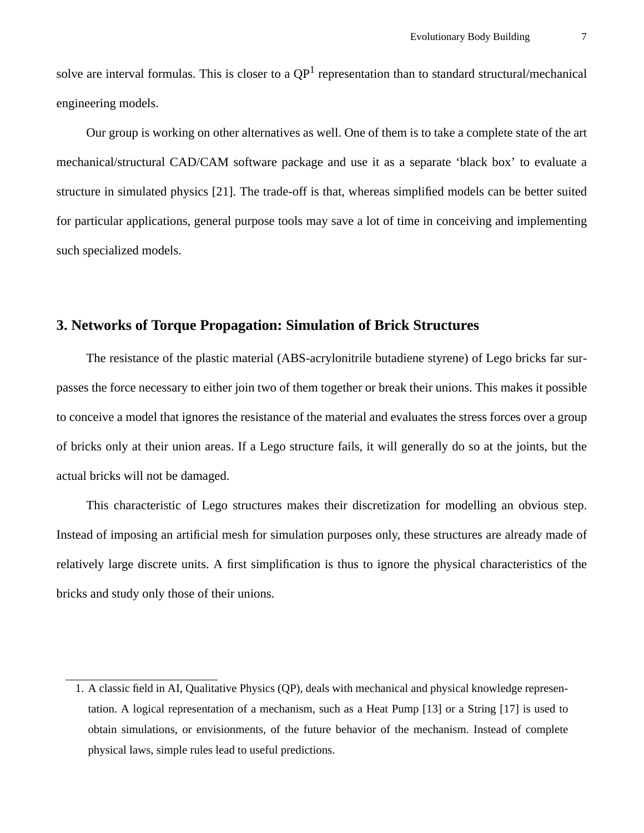solve are interval formulas. This is closer to a  $QP<sup>1</sup>$  representation than to standard structural/mechanical engineering models.

Our group is working on other alternatives as well. One of them is to take a complete state of the art mechanical/structural CAD/CAM software package and use it as a separate 'black box' to evaluate a structure in simulated physics [21]. The trade-off is that, whereas simplified models can be better suited for particular applications, general purpose tools may save a lot of time in conceiving and implementing such specialized models.

# **3. Networks of Torque Propagation: Simulation of Brick Structures**

The resistance of the plastic material (ABS-acrylonitrile butadiene styrene) of Lego bricks far surpasses the force necessary to either join two of them together or break their unions. This makes it possible to conceive a model that ignores the resistance of the material and evaluates the stress forces over a group of bricks only at their union areas. If a Lego structure fails, it will generally do so at the joints, but the actual bricks will not be damaged.

This characteristic of Lego structures makes their discretization for modelling an obvious step. Instead of imposing an artificial mesh for simulation purposes only, these structures are already made of relatively large discrete units. A first simplification is thus to ignore the physical characteristics of the bricks and study only those of their unions.

<sup>1.</sup> A classic field in AI, Qualitative Physics (QP), deals with mechanical and physical knowledge representation. A logical representation of a mechanism, such as a Heat Pump [13] or a String [17] is used to obtain simulations, or envisionments, of the future behavior of the mechanism. Instead of complete physical laws, simple rules lead to useful predictions.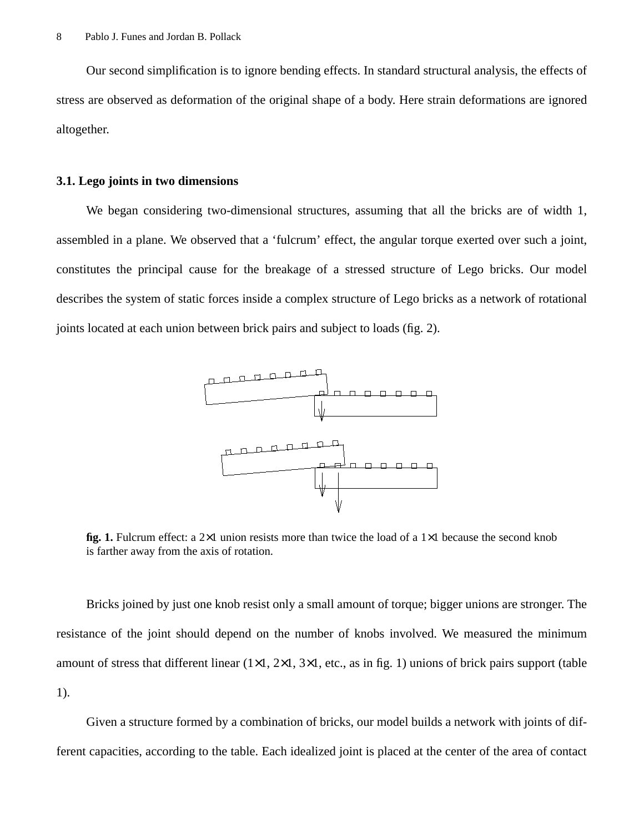Our second simplification is to ignore bending effects. In standard structural analysis, the effects of stress are observed as deformation of the original shape of a body. Here strain deformations are ignored altogether.

#### **3.1. Lego joints in two dimensions**

We began considering two-dimensional structures, assuming that all the bricks are of width 1, assembled in a plane. We observed that a 'fulcrum' effect, the angular torque exerted over such a joint, constitutes the principal cause for the breakage of a stressed structure of Lego bricks. Our model describes the system of static forces inside a complex structure of Lego bricks as a network of rotational joints located at each union between brick pairs and subject to loads (fig. 2).



**fig. 1.** Fulcrum effect: a 2×1 union resists more than twice the load of a 1×1 because the second knob is farther away from the axis of rotation.

Bricks joined by just one knob resist only a small amount of torque; bigger unions are stronger. The resistance of the joint should depend on the number of knobs involved. We measured the minimum amount of stress that different linear  $(1\times1, 2\times1, 3\times1,$  etc., as in fig. 1) unions of brick pairs support (table 1).

Given a structure formed by a combination of bricks, our model builds a network with joints of different capacities, according to the table. Each idealized joint is placed at the center of the area of contact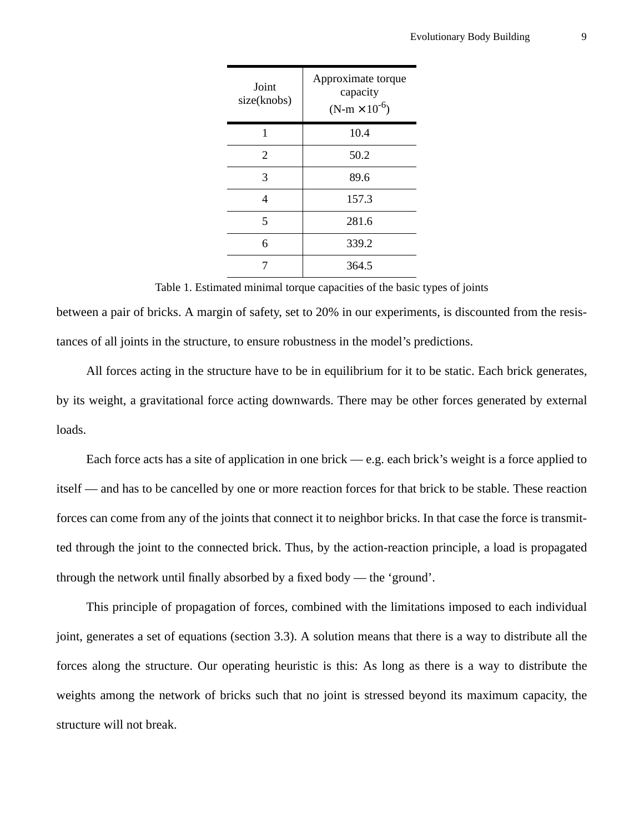| Joint<br>size(knobs) | Approximate torque<br>capacity<br>$(N-m \times 10^{-6})$ |
|----------------------|----------------------------------------------------------|
| 1                    | 10.4                                                     |
| $\overline{2}$       | 50.2                                                     |
| 3                    | 89.6                                                     |
| 4                    | 157.3                                                    |
| 5                    | 281.6                                                    |
| 6                    | 339.2                                                    |
|                      | 364.5                                                    |

#### Table 1. Estimated minimal torque capacities of the basic types of joints

between a pair of bricks. A margin of safety, set to 20% in our experiments, is discounted from the resistances of all joints in the structure, to ensure robustness in the model's predictions.

All forces acting in the structure have to be in equilibrium for it to be static. Each brick generates, by its weight, a gravitational force acting downwards. There may be other forces generated by external loads.

Each force acts has a site of application in one brick — e.g. each brick's weight is a force applied to itself — and has to be cancelled by one or more reaction forces for that brick to be stable. These reaction forces can come from any of the joints that connect it to neighbor bricks. In that case the force is transmitted through the joint to the connected brick. Thus, by the action-reaction principle, a load is propagated through the network until finally absorbed by a fixed body — the 'ground'.

This principle of propagation of forces, combined with the limitations imposed to each individual joint, generates a set of equations (section 3.3). A solution means that there is a way to distribute all the forces along the structure. Our operating heuristic is this: As long as there is a way to distribute the weights among the network of bricks such that no joint is stressed beyond its maximum capacity, the structure will not break.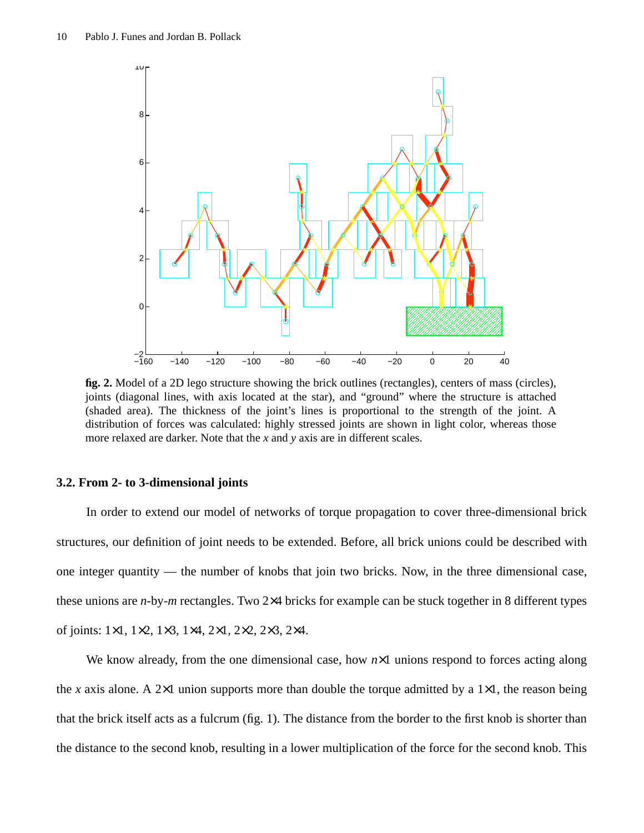

**fig. 2.** Model of a 2D lego structure showing the brick outlines (rectangles), centers of mass (circles), joints (diagonal lines, with axis located at the star), and "ground" where the structure is attached (shaded area). The thickness of the joint's lines is proportional to the strength of the joint. A distribution of forces was calculated: highly stressed joints are shown in light color, whereas those more relaxed are darker. Note that the *x* and *y* axis are in different scales.

#### **3.2. From 2- to 3-dimensional joints**

In order to extend our model of networks of torque propagation to cover three-dimensional brick structures, our definition of joint needs to be extended. Before, all brick unions could be described with one integer quantity — the number of knobs that join two bricks. Now, in the three dimensional case, these unions are *n*-by-*m* rectangles. Two 2×4 bricks for example can be stuck together in 8 different types of joints: 1×1, 1×2, 1×3, 1×4, 2×1, 2×2, 2×3, 2×4.

We know already, from the one dimensional case, how  $n \times 1$  unions respond to forces acting along the *x* axis alone. A 2×1 union supports more than double the torque admitted by a 1×1, the reason being that the brick itself acts as a fulcrum (fig. 1). The distance from the border to the first knob is shorter than the distance to the second knob, resulting in a lower multiplication of the force for the second knob. This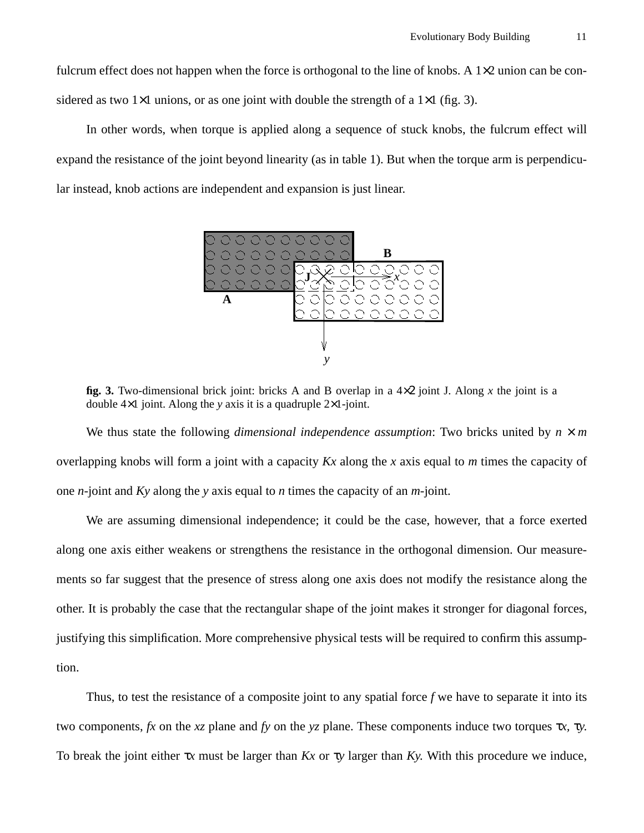fulcrum effect does not happen when the force is orthogonal to the line of knobs. A  $1\times 2$  union can be considered as two  $1\times1$  unions, or as one joint with double the strength of a  $1\times1$  (fig. 3).

In other words, when torque is applied along a sequence of stuck knobs, the fulcrum effect will expand the resistance of the joint beyond linearity (as in table 1). But when the torque arm is perpendicular instead, knob actions are independent and expansion is just linear.



**fig. 3.** Two-dimensional brick joint: bricks A and B overlap in a 4×2 joint J. Along *x* the joint is a double 4×1 joint. Along the *y* axis it is a quadruple 2×1-joint.

We thus state the following *dimensional independence assumption*: Two bricks united by  $n \times m$ overlapping knobs will form a joint with a capacity *Kx* along the *x* axis equal to *m* times the capacity of one *n*-joint and *Ky* along the *y* axis equal to *n* times the capacity of an *m*-joint.

We are assuming dimensional independence; it could be the case, however, that a force exerted along one axis either weakens or strengthens the resistance in the orthogonal dimension. Our measurements so far suggest that the presence of stress along one axis does not modify the resistance along the other. It is probably the case that the rectangular shape of the joint makes it stronger for diagonal forces, justifying this simplification. More comprehensive physical tests will be required to confirm this assumption.

Thus, to test the resistance of a composite joint to any spatial force  $f$  we have to separate it into its two components, *fx* on the *xz* plane and *fy* on the *yz* plane. These components induce two torques τ*x,* τ*y*. To break the joint either τ*x* must be larger than *Kx* or τ*y* larger than *Ky.* With this procedure we induce,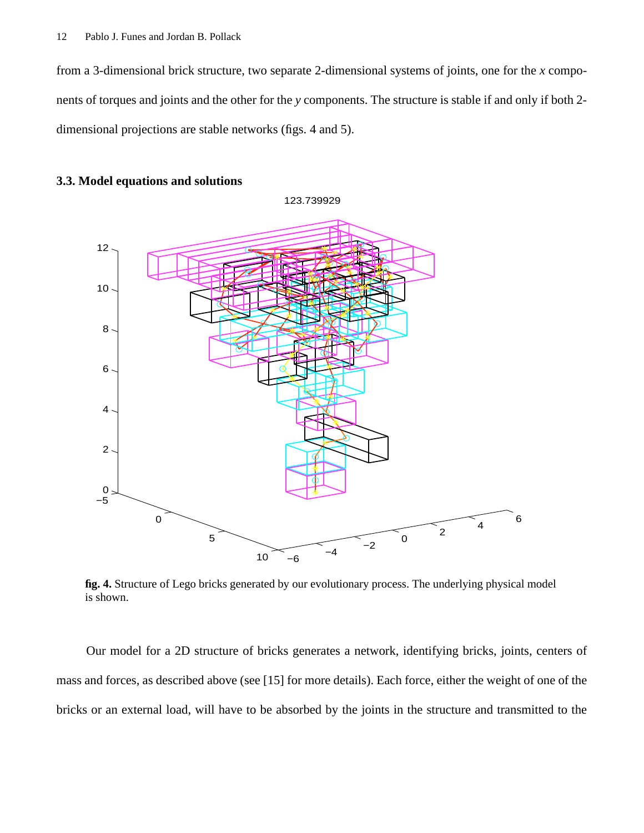from a 3-dimensional brick structure, two separate 2-dimensional systems of joints, one for the *x* components of torques and joints and the other for the *y* components. The structure is stable if and only if both 2 dimensional projections are stable networks (figs. 4 and 5).





**fig. 4.** Structure of Lego bricks generated by our evolutionary process. The underlying physical model is shown.

Our model for a 2D structure of bricks generates a network, identifying bricks, joints, centers of mass and forces, as described above (see [15] for more details). Each force, either the weight of one of the bricks or an external load, will have to be absorbed by the joints in the structure and transmitted to the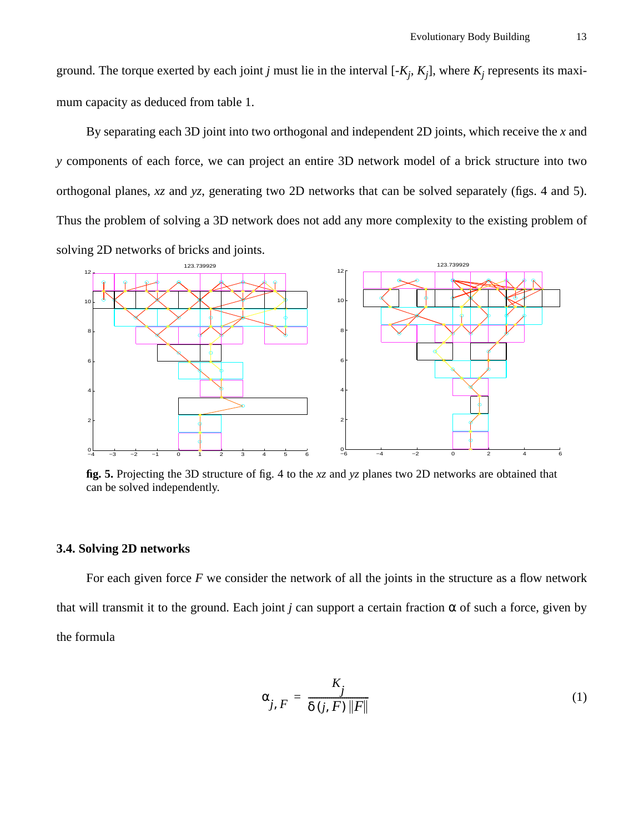ground. The torque exerted by each joint *j* must lie in the interval [- $K_j$ ,  $K_j$ ], where  $K_j$  represents its maximum capacity as deduced from table 1.

By separating each 3D joint into two orthogonal and independent 2D joints, which receive the *x* and *y* components of each force, we can project an entire 3D network model of a brick structure into two orthogonal planes, *xz* and *yz*, generating two 2D networks that can be solved separately (figs. 4 and 5). Thus the problem of solving a 3D network does not add any more complexity to the existing problem of solving 2D networks of bricks and joints.



**fig. 5.** Projecting the 3D structure of fig. 4 to the *xz* and *yz* planes two 2D networks are obtained that can be solved independently.

## **3.4. Solving 2D networks**

For each given force *F* we consider the network of all the joints in the structure as a flow network that will transmit it to the ground. Each joint *j* can support a certain fraction  $\alpha$  of such a force, given by the formula

$$
\alpha_{j, F} = \frac{K_j}{\delta(j, F) \|F\|} \tag{1}
$$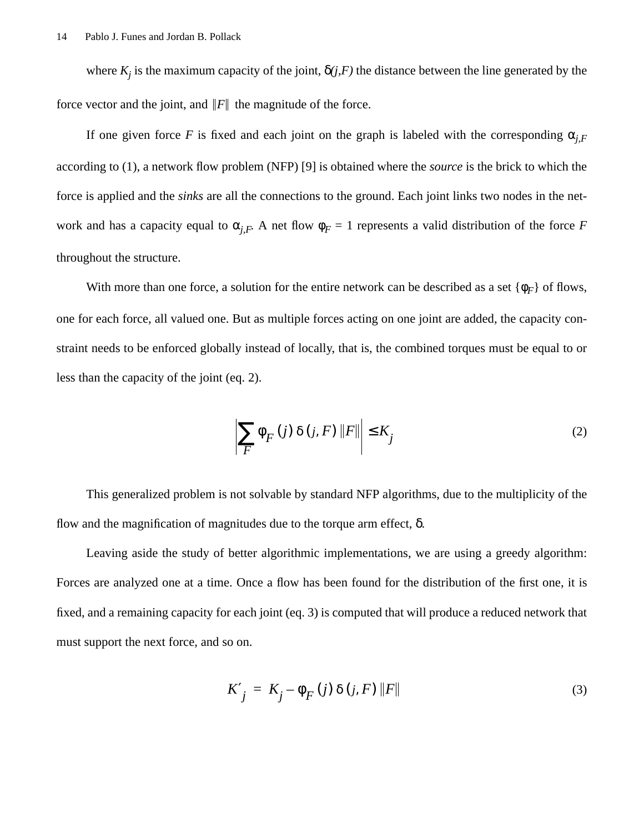where  $K_j$  is the maximum capacity of the joint,  $\delta(j, F)$  the distance between the line generated by the force vector and the joint, and  $\|F\|$  the magnitude of the force.

If one given force *F* is fixed and each joint on the graph is labeled with the corresponding  $\alpha_{i}$ according to (1), a network flow problem (NFP) [9] is obtained where the *source* is the brick to which the force is applied and the *sinks* are all the connections to the ground. Each joint links two nodes in the network and has a capacity equal to  $\alpha_{j,F}$ . A net flow  $\phi_F = 1$  represents a valid distribution of the force *F* throughout the structure.

With more than one force, a solution for the entire network can be described as a set  $\{\phi_F\}$  of flows, one for each force, all valued one. But as multiple forces acting on one joint are added, the capacity constraint needs to be enforced globally instead of locally, that is, the combined torques must be equal to or less than the capacity of the joint (eq. 2).

$$
\sum_{F} \phi_{F}(j) \delta(j, F) \|F\| \le K_{j}
$$
\n(2)

This generalized problem is not solvable by standard NFP algorithms, due to the multiplicity of the flow and the magnification of magnitudes due to the torque arm effect,  $δ$ .

Leaving aside the study of better algorithmic implementations, we are using a greedy algorithm: Forces are analyzed one at a time. Once a flow has been found for the distribution of the first one, it is fixed, and a remaining capacity for each joint (eq. 3) is computed that will produce a reduced network that must support the next force, and so on.

$$
K'_{j} = K_{j} - \phi_{F}(j) \delta(j, F) ||F|| \tag{3}
$$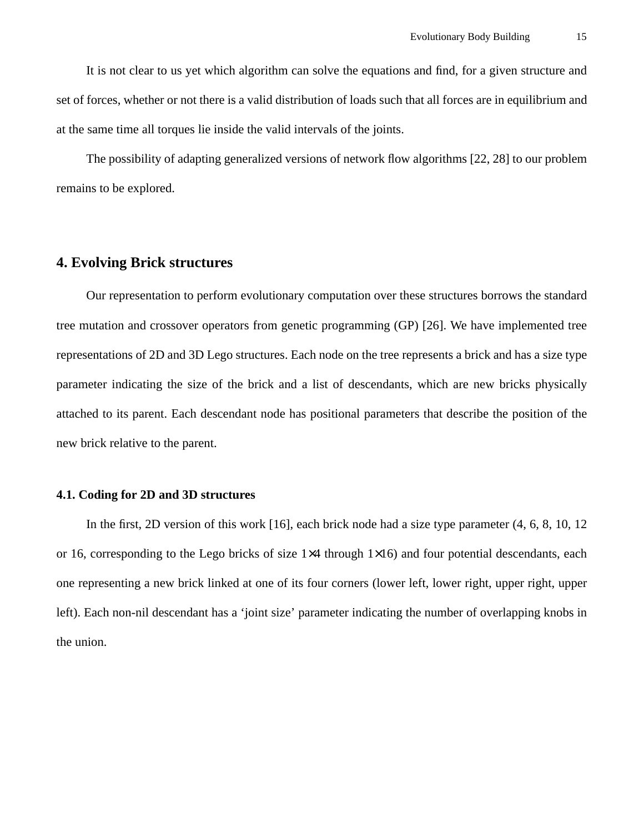It is not clear to us yet which algorithm can solve the equations and find, for a given structure and set of forces, whether or not there is a valid distribution of loads such that all forces are in equilibrium and at the same time all torques lie inside the valid intervals of the joints.

The possibility of adapting generalized versions of network flow algorithms [22, 28] to our problem remains to be explored.

# **4. Evolving Brick structures**

Our representation to perform evolutionary computation over these structures borrows the standard tree mutation and crossover operators from genetic programming (GP) [26]. We have implemented tree representations of 2D and 3D Lego structures. Each node on the tree represents a brick and has a size type parameter indicating the size of the brick and a list of descendants, which are new bricks physically attached to its parent. Each descendant node has positional parameters that describe the position of the new brick relative to the parent.

## **4.1. Coding for 2D and 3D structures**

In the first, 2D version of this work [16], each brick node had a size type parameter (4, 6, 8, 10, 12 or 16, corresponding to the Lego bricks of size 1×4 through 1×16) and four potential descendants, each one representing a new brick linked at one of its four corners (lower left, lower right, upper right, upper left). Each non-nil descendant has a 'joint size' parameter indicating the number of overlapping knobs in the union.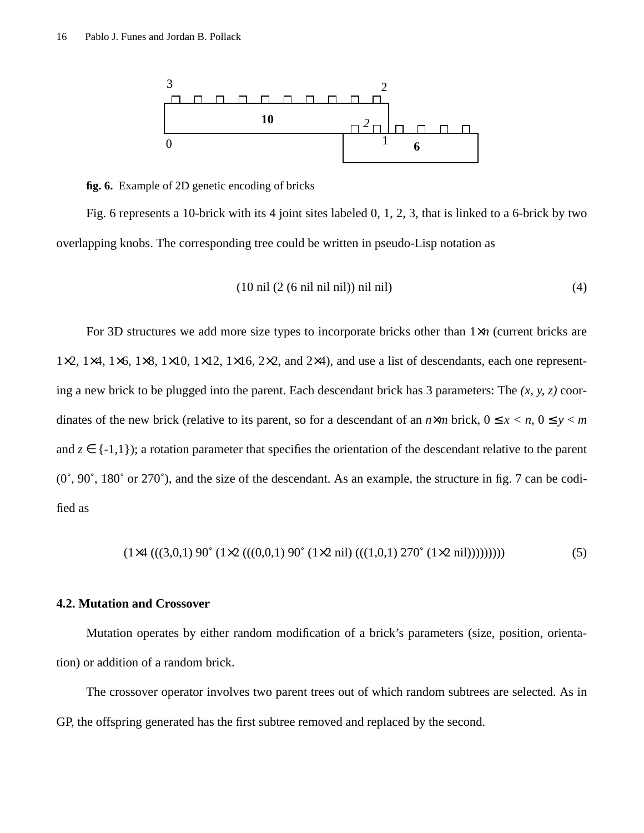

**fig. 6.** Example of 2D genetic encoding of bricks

Fig. 6 represents a 10-brick with its 4 joint sites labeled 0, 1, 2, 3, that is linked to a 6-brick by two overlapping knobs. The corresponding tree could be written in pseudo-Lisp notation as

$$
(10 \text{ nil } (2 (6 \text{ nil nil nil})) \text{ nil nil}) \tag{4}
$$

For 3D structures we add more size types to incorporate bricks other than 1×*n* (current bricks are  $1\times2$ ,  $1\times4$ ,  $1\times6$ ,  $1\times8$ ,  $1\times10$ ,  $1\times12$ ,  $1\times16$ ,  $2\times2$ , and  $2\times4$ ), and use a list of descendants, each one representing a new brick to be plugged into the parent. Each descendant brick has 3 parameters: The *(x, y, z)* coordinates of the new brick (relative to its parent, so for a descendant of an  $n \times m$  brick,  $0 \le x < n$ ,  $0 \le y < m$ and  $z \in \{-1,1\}$ ; a rotation parameter that specifies the orientation of the descendant relative to the parent (0˚, 90˚, 180˚ or 270˚), and the size of the descendant. As an example, the structure in fig. 7 can be codified as

$$
(1 \times 4 (((3,0,1) 90° (1 \times 2 (((0,0,1) 90° (1 \times 2 nil) (((1,0,1) 270° (1 \times 2 nil))))))))
$$

# **4.2. Mutation and Crossover**

Mutation operates by either random modification of a brick's parameters (size, position, orientation) or addition of a random brick.

The crossover operator involves two parent trees out of which random subtrees are selected. As in GP, the offspring generated has the first subtree removed and replaced by the second.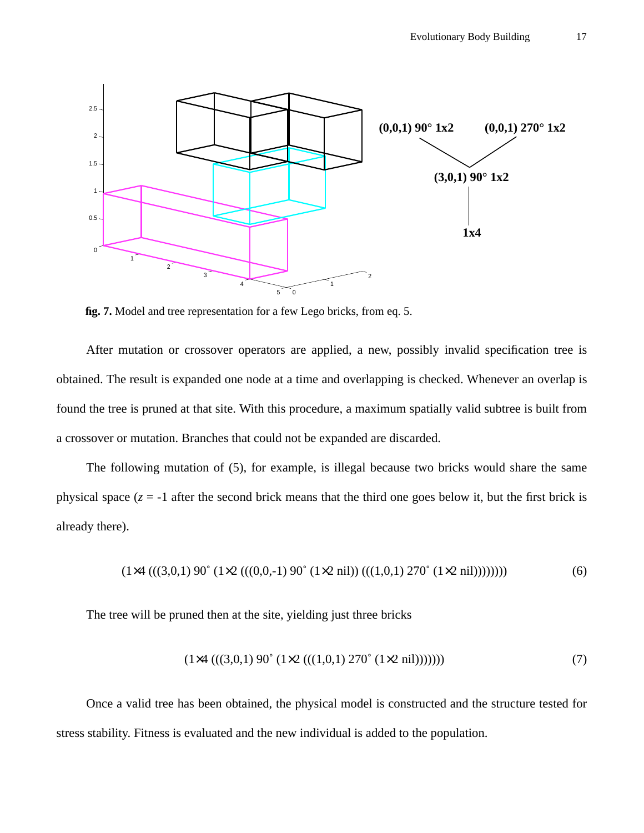

**fig. 7.** Model and tree representation for a few Lego bricks, from eq. 5.

After mutation or crossover operators are applied, a new, possibly invalid specification tree is obtained. The result is expanded one node at a time and overlapping is checked. Whenever an overlap is found the tree is pruned at that site. With this procedure, a maximum spatially valid subtree is built from a crossover or mutation. Branches that could not be expanded are discarded.

The following mutation of (5), for example, is illegal because two bricks would share the same physical space  $(z = -1)$  after the second brick means that the third one goes below it, but the first brick is already there).

$$
(1 \times 4 (((3,0,1) 90° (1 \times 2 (((0,0,-1) 90° (1 \times 2 nil)) (((1,0,1) 270° (1 \times 2 nil)))))))
$$
\n
$$
(6)
$$

The tree will be pruned then at the site, yielding just three bricks

$$
(1 \times 4 (((3,0,1) 90° (1 \times 2 (((1,0,1) 270° (1 \times 2 nil)))))))
$$
\n
$$
(7)
$$

Once a valid tree has been obtained, the physical model is constructed and the structure tested for stress stability. Fitness is evaluated and the new individual is added to the population.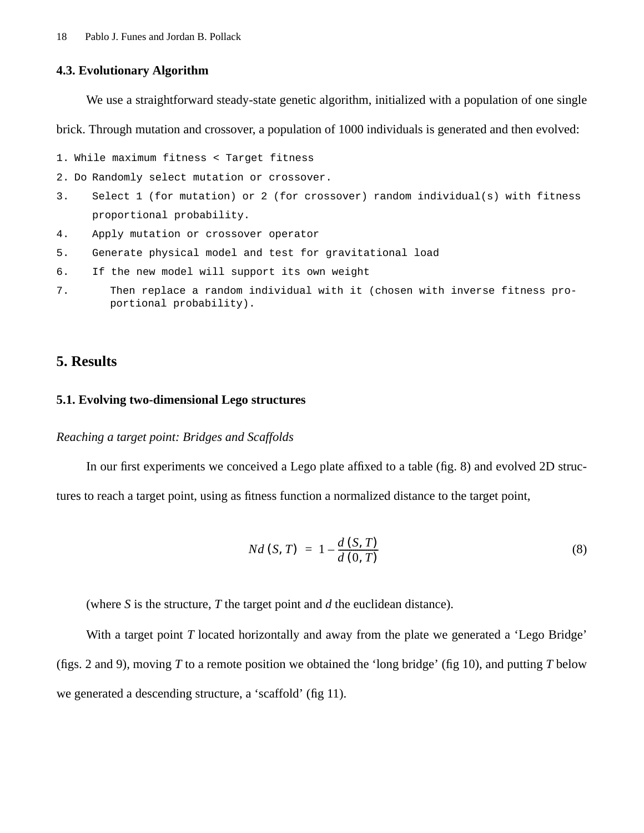#### **4.3. Evolutionary Algorithm**

We use a straightforward steady-state genetic algorithm, initialized with a population of one single

brick. Through mutation and crossover, a population of 1000 individuals is generated and then evolved:

```
1. While maximum fitness < Target fitness
```
- 2. Do Randomly select mutation or crossover.
- 3. Select 1 (for mutation) or 2 (for crossover) random individual(s) with fitness proportional probability.
- 4. Apply mutation or crossover operator
- 5. Generate physical model and test for gravitational load
- 6. If the new model will support its own weight
- 7. Then replace a random individual with it (chosen with inverse fitness proportional probability).

# **5. Results**

## **5.1. Evolving two-dimensional Lego structures**

#### *Reaching a target point: Bridges and Scaffolds*

In our first experiments we conceived a Lego plate affixed to a table (fig. 8) and evolved 2D structures to reach a target point, using as fitness function a normalized distance to the target point,

$$
Nd(S, T) = 1 - \frac{d(S, T)}{d(0, T)}
$$
\n(8)

(where *S* is the structure, *T* the target point and *d* the euclidean distance).

With a target point *T* located horizontally and away from the plate we generated a 'Lego Bridge' (figs. 2 and 9), moving *T* to a remote position we obtained the 'long bridge' (fig 10), and putting *T* below we generated a descending structure, a 'scaffold' (fig 11).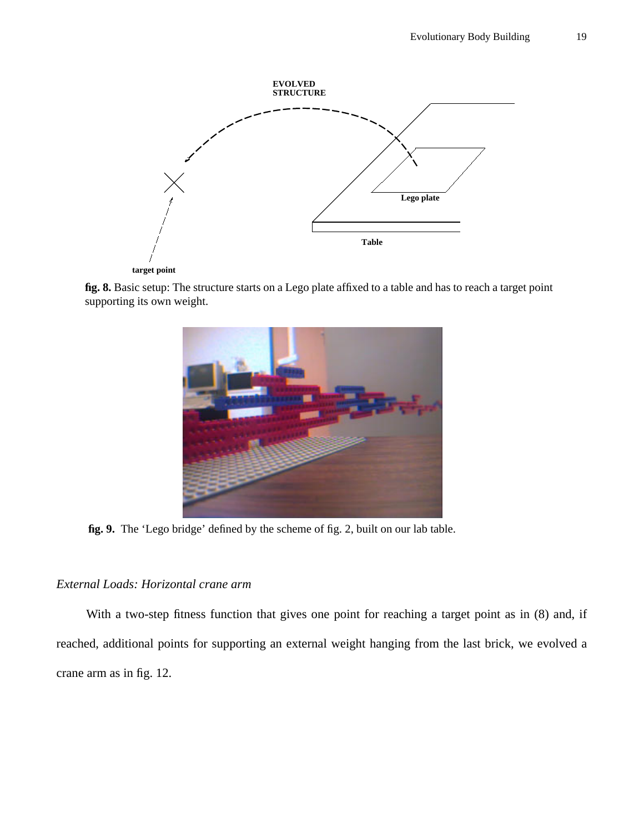

**fig. 8.** Basic setup: The structure starts on a Lego plate affixed to a table and has to reach a target point supporting its own weight.



**fig. 9.** The 'Lego bridge' defined by the scheme of fig. 2, built on our lab table.

# *External Loads: Horizontal crane arm*

With a two-step fitness function that gives one point for reaching a target point as in (8) and, if reached, additional points for supporting an external weight hanging from the last brick, we evolved a crane arm as in fig. 12.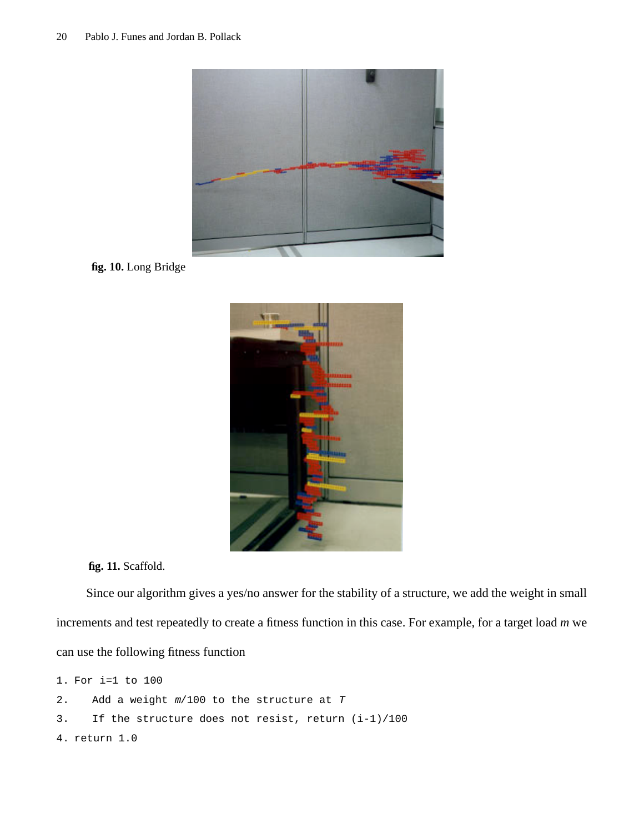

**fig. 10.** Long Bridge



**fig. 11.** Scaffold.

Since our algorithm gives a yes/no answer for the stability of a structure, we add the weight in small increments and test repeatedly to create a fitness function in this case. For example, for a target load *m* we can use the following fitness function

```
1. For i=1 to 100
2. Add a weight m/100 to the structure at T
3. If the structure does not resist, return (i-1)/100
4. return 1.0
```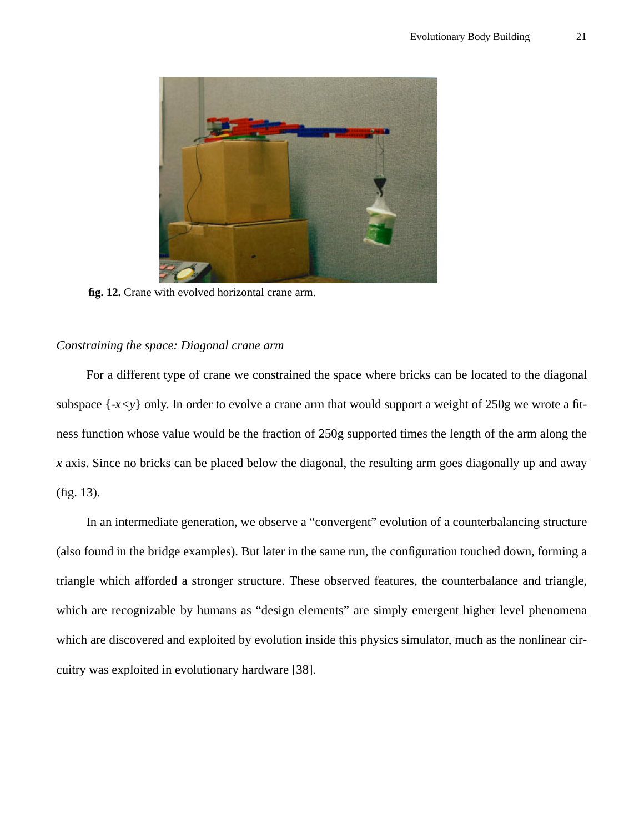

**fig. 12.** Crane with evolved horizontal crane arm.

## *Constraining the space: Diagonal crane arm*

For a different type of crane we constrained the space where bricks can be located to the diagonal subspace  $\{-x \leq y\}$  only. In order to evolve a crane arm that would support a weight of 250g we wrote a fitness function whose value would be the fraction of 250g supported times the length of the arm along the *x* axis. Since no bricks can be placed below the diagonal, the resulting arm goes diagonally up and away (fig. 13).

In an intermediate generation, we observe a "convergent" evolution of a counterbalancing structure (also found in the bridge examples). But later in the same run, the configuration touched down, forming a triangle which afforded a stronger structure. These observed features, the counterbalance and triangle, which are recognizable by humans as "design elements" are simply emergent higher level phenomena which are discovered and exploited by evolution inside this physics simulator, much as the nonlinear circuitry was exploited in evolutionary hardware [38].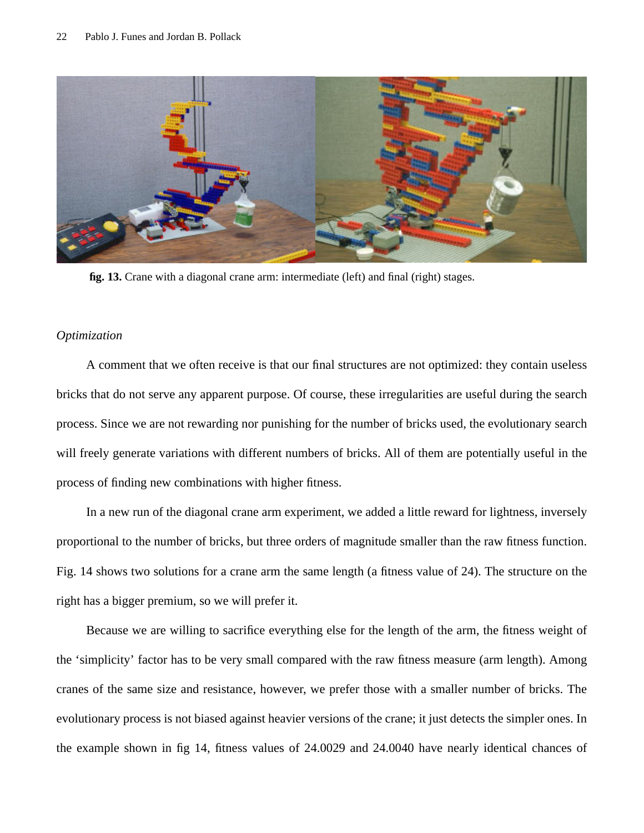

**fig. 13.** Crane with a diagonal crane arm: intermediate (left) and final (right) stages.

## *Optimization*

A comment that we often receive is that our final structures are not optimized: they contain useless bricks that do not serve any apparent purpose. Of course, these irregularities are useful during the search process. Since we are not rewarding nor punishing for the number of bricks used, the evolutionary search will freely generate variations with different numbers of bricks. All of them are potentially useful in the process of finding new combinations with higher fitness.

In a new run of the diagonal crane arm experiment, we added a little reward for lightness, inversely proportional to the number of bricks, but three orders of magnitude smaller than the raw fitness function. Fig. 14 shows two solutions for a crane arm the same length (a fitness value of 24). The structure on the right has a bigger premium, so we will prefer it.

Because we are willing to sacrifice everything else for the length of the arm, the fitness weight of the 'simplicity' factor has to be very small compared with the raw fitness measure (arm length). Among cranes of the same size and resistance, however, we prefer those with a smaller number of bricks. The evolutionary process is not biased against heavier versions of the crane; it just detects the simpler ones. In the example shown in fig 14, fitness values of 24.0029 and 24.0040 have nearly identical chances of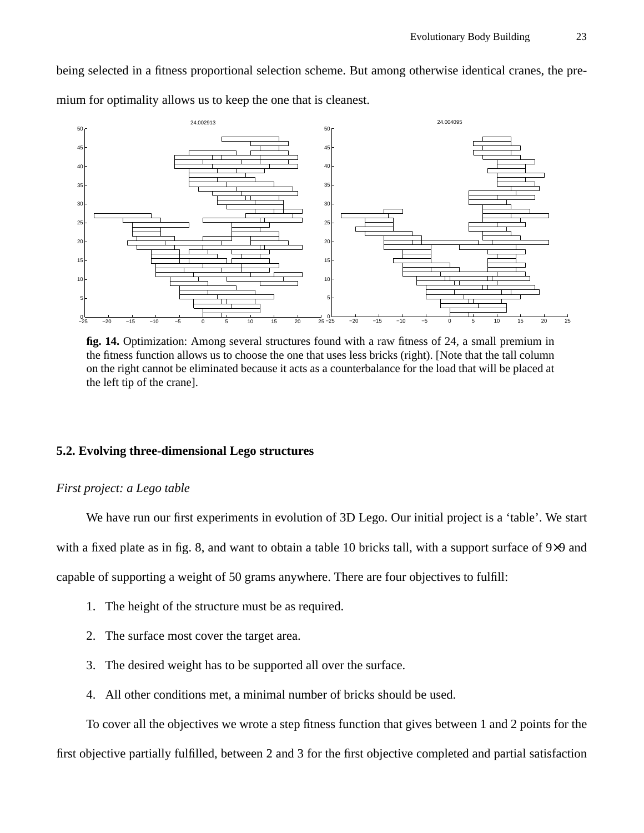being selected in a fitness proportional selection scheme. But among otherwise identical cranes, the premium for optimality allows us to keep the one that is cleanest.



**fig. 14.** Optimization: Among several structures found with a raw fitness of 24, a small premium in the fitness function allows us to choose the one that uses less bricks (right). [Note that the tall column on the right cannot be eliminated because it acts as a counterbalance for the load that will be placed at the left tip of the crane].

# **5.2. Evolving three-dimensional Lego structures**

# *First project: a Lego table*

We have run our first experiments in evolution of 3D Lego. Our initial project is a 'table'. We start with a fixed plate as in fig. 8, and want to obtain a table 10 bricks tall, with a support surface of 9×9 and capable of supporting a weight of 50 grams anywhere. There are four objectives to fulfill:

- 1. The height of the structure must be as required.
- 2. The surface most cover the target area.
- 3. The desired weight has to be supported all over the surface.
- 4. All other conditions met, a minimal number of bricks should be used.

To cover all the objectives we wrote a step fitness function that gives between 1 and 2 points for the first objective partially fulfilled, between 2 and 3 for the first objective completed and partial satisfaction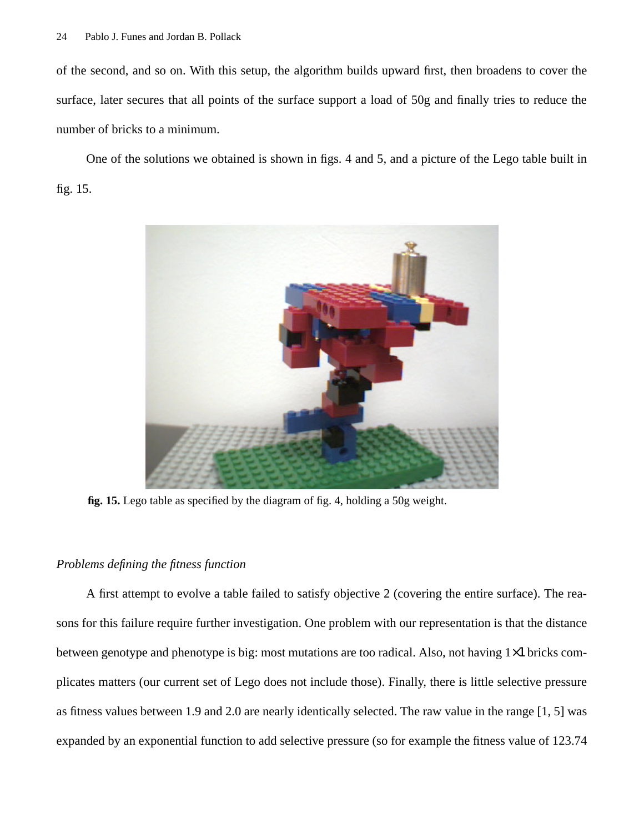of the second, and so on. With this setup, the algorithm builds upward first, then broadens to cover the surface, later secures that all points of the surface support a load of 50g and finally tries to reduce the number of bricks to a minimum.

One of the solutions we obtained is shown in figs. 4 and 5, and a picture of the Lego table built in fig. 15.



**fig. 15.** Lego table as specified by the diagram of fig. 4, holding a 50g weight.

# *Problems defining the fitness function*

A first attempt to evolve a table failed to satisfy objective 2 (covering the entire surface). The reasons for this failure require further investigation. One problem with our representation is that the distance between genotype and phenotype is big: most mutations are too radical. Also, not having 1×1 bricks complicates matters (our current set of Lego does not include those). Finally, there is little selective pressure as fitness values between 1.9 and 2.0 are nearly identically selected. The raw value in the range [1, 5] was expanded by an exponential function to add selective pressure (so for example the fitness value of 123.74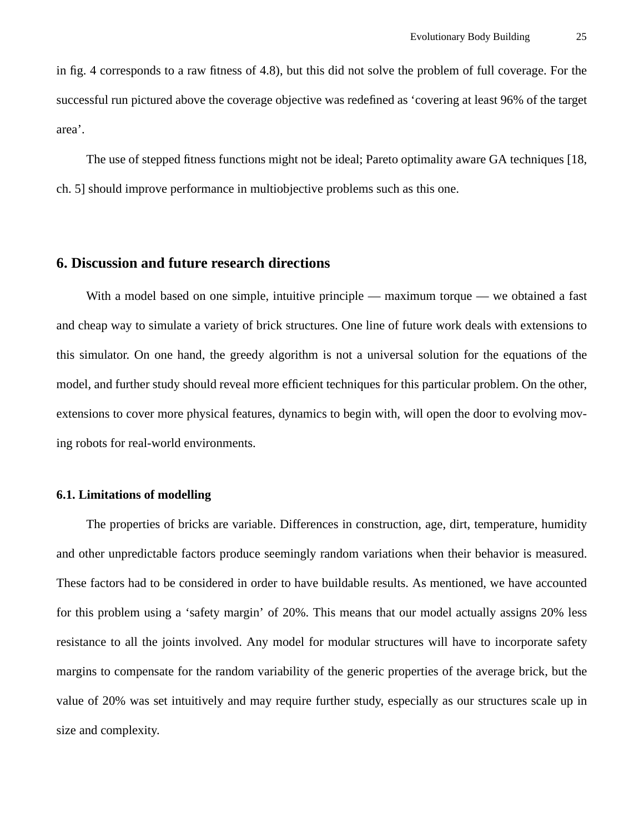in fig. 4 corresponds to a raw fitness of 4.8), but this did not solve the problem of full coverage. For the successful run pictured above the coverage objective was redefined as 'covering at least 96% of the target area'.

The use of stepped fitness functions might not be ideal; Pareto optimality aware GA techniques [18, ch. 5] should improve performance in multiobjective problems such as this one.

## **6. Discussion and future research directions**

With a model based on one simple, intuitive principle — maximum torque — we obtained a fast and cheap way to simulate a variety of brick structures. One line of future work deals with extensions to this simulator. On one hand, the greedy algorithm is not a universal solution for the equations of the model, and further study should reveal more efficient techniques for this particular problem. On the other, extensions to cover more physical features, dynamics to begin with, will open the door to evolving moving robots for real-world environments.

# **6.1. Limitations of modelling**

The properties of bricks are variable. Differences in construction, age, dirt, temperature, humidity and other unpredictable factors produce seemingly random variations when their behavior is measured. These factors had to be considered in order to have buildable results. As mentioned, we have accounted for this problem using a 'safety margin' of 20%. This means that our model actually assigns 20% less resistance to all the joints involved. Any model for modular structures will have to incorporate safety margins to compensate for the random variability of the generic properties of the average brick, but the value of 20% was set intuitively and may require further study, especially as our structures scale up in size and complexity.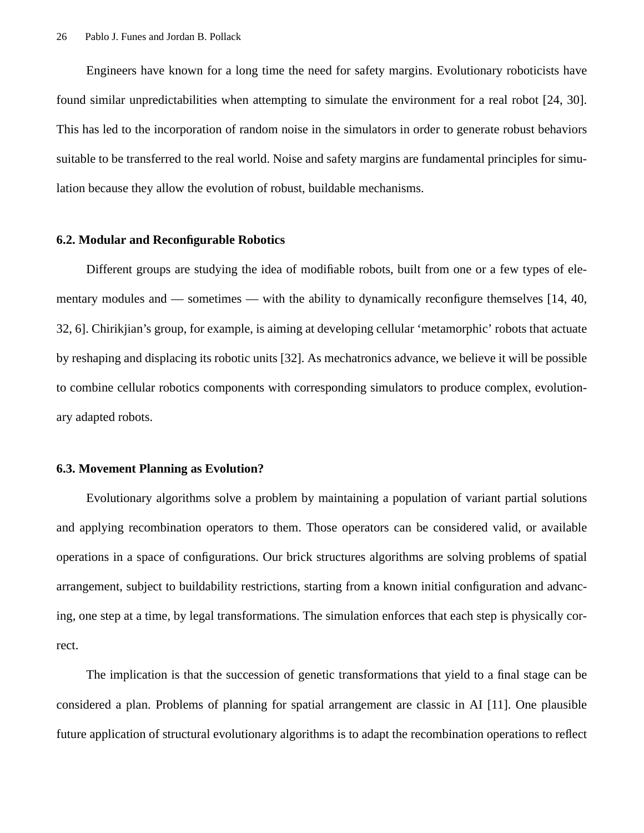Engineers have known for a long time the need for safety margins. Evolutionary roboticists have found similar unpredictabilities when attempting to simulate the environment for a real robot [24, 30]. This has led to the incorporation of random noise in the simulators in order to generate robust behaviors suitable to be transferred to the real world. Noise and safety margins are fundamental principles for simulation because they allow the evolution of robust, buildable mechanisms.

## **6.2. Modular and Reconfigurable Robotics**

Different groups are studying the idea of modifiable robots, built from one or a few types of elementary modules and — sometimes — with the ability to dynamically reconfigure themselves [14, 40, 32, 6]. Chirikjian's group, for example, is aiming at developing cellular 'metamorphic' robots that actuate by reshaping and displacing its robotic units [32]. As mechatronics advance, we believe it will be possible to combine cellular robotics components with corresponding simulators to produce complex, evolutionary adapted robots.

## **6.3. Movement Planning as Evolution?**

Evolutionary algorithms solve a problem by maintaining a population of variant partial solutions and applying recombination operators to them. Those operators can be considered valid, or available operations in a space of configurations. Our brick structures algorithms are solving problems of spatial arrangement, subject to buildability restrictions, starting from a known initial configuration and advancing, one step at a time, by legal transformations. The simulation enforces that each step is physically correct.

The implication is that the succession of genetic transformations that yield to a final stage can be considered a plan. Problems of planning for spatial arrangement are classic in AI [11]. One plausible future application of structural evolutionary algorithms is to adapt the recombination operations to reflect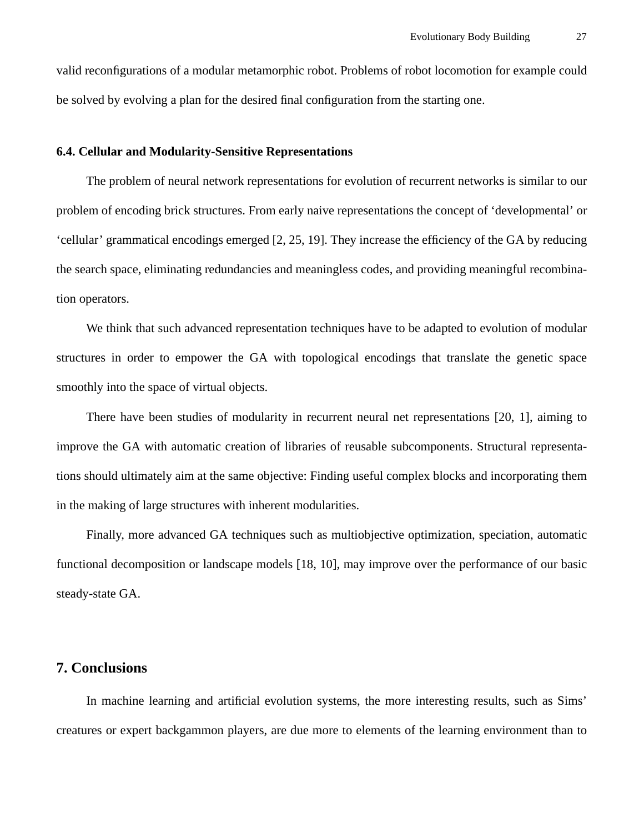valid reconfigurations of a modular metamorphic robot. Problems of robot locomotion for example could be solved by evolving a plan for the desired final configuration from the starting one.

## **6.4. Cellular and Modularity-Sensitive Representations**

The problem of neural network representations for evolution of recurrent networks is similar to our problem of encoding brick structures. From early naive representations the concept of 'developmental' or 'cellular' grammatical encodings emerged [2, 25, 19]. They increase the efficiency of the GA by reducing the search space, eliminating redundancies and meaningless codes, and providing meaningful recombination operators.

We think that such advanced representation techniques have to be adapted to evolution of modular structures in order to empower the GA with topological encodings that translate the genetic space smoothly into the space of virtual objects.

There have been studies of modularity in recurrent neural net representations [20, 1], aiming to improve the GA with automatic creation of libraries of reusable subcomponents. Structural representations should ultimately aim at the same objective: Finding useful complex blocks and incorporating them in the making of large structures with inherent modularities.

Finally, more advanced GA techniques such as multiobjective optimization, speciation, automatic functional decomposition or landscape models [18, 10], may improve over the performance of our basic steady-state GA.

# **7. Conclusions**

In machine learning and artificial evolution systems, the more interesting results, such as Sims' creatures or expert backgammon players, are due more to elements of the learning environment than to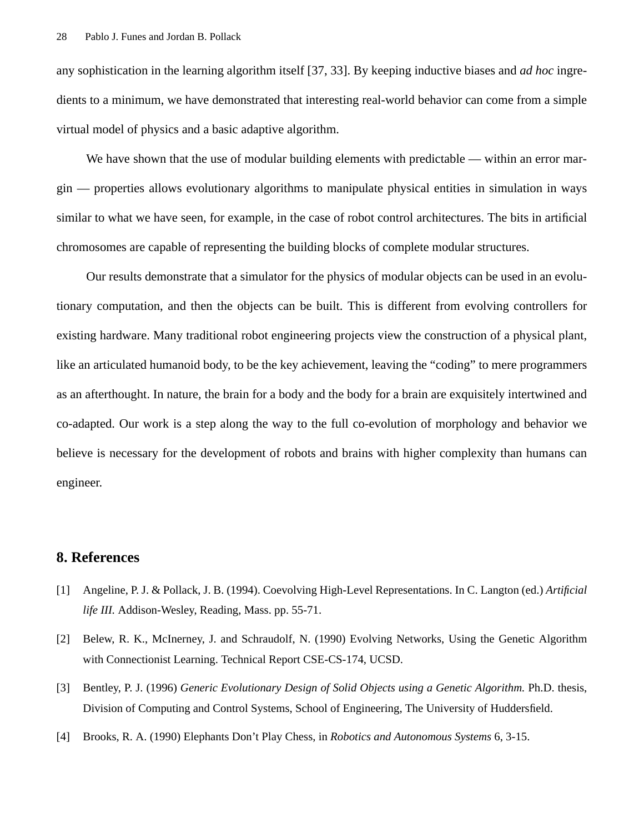any sophistication in the learning algorithm itself [37, 33]. By keeping inductive biases and *ad hoc* ingredients to a minimum, we have demonstrated that interesting real-world behavior can come from a simple virtual model of physics and a basic adaptive algorithm.

We have shown that the use of modular building elements with predictable — within an error margin — properties allows evolutionary algorithms to manipulate physical entities in simulation in ways similar to what we have seen, for example, in the case of robot control architectures. The bits in artificial chromosomes are capable of representing the building blocks of complete modular structures.

Our results demonstrate that a simulator for the physics of modular objects can be used in an evolutionary computation, and then the objects can be built. This is different from evolving controllers for existing hardware. Many traditional robot engineering projects view the construction of a physical plant, like an articulated humanoid body, to be the key achievement, leaving the "coding" to mere programmers as an afterthought. In nature, the brain for a body and the body for a brain are exquisitely intertwined and co-adapted. Our work is a step along the way to the full co-evolution of morphology and behavior we believe is necessary for the development of robots and brains with higher complexity than humans can engineer.

# **8. References**

- [1] Angeline, P. J. & Pollack, J. B. (1994). Coevolving High-Level Representations. In C. Langton (ed.) *Artificial life III.* Addison-Wesley, Reading, Mass. pp. 55-71.
- [2] Belew, R. K., McInerney, J. and Schraudolf, N. (1990) Evolving Networks, Using the Genetic Algorithm with Connectionist Learning. Technical Report CSE-CS-174, UCSD.
- [3] Bentley, P. J. (1996) *Generic Evolutionary Design of Solid Objects using a Genetic Algorithm.* Ph.D. thesis, Division of Computing and Control Systems, School of Engineering, The University of Huddersfield.
- [4] Brooks, R. A. (1990) Elephants Don't Play Chess, in *Robotics and Autonomous Systems* 6, 3-15.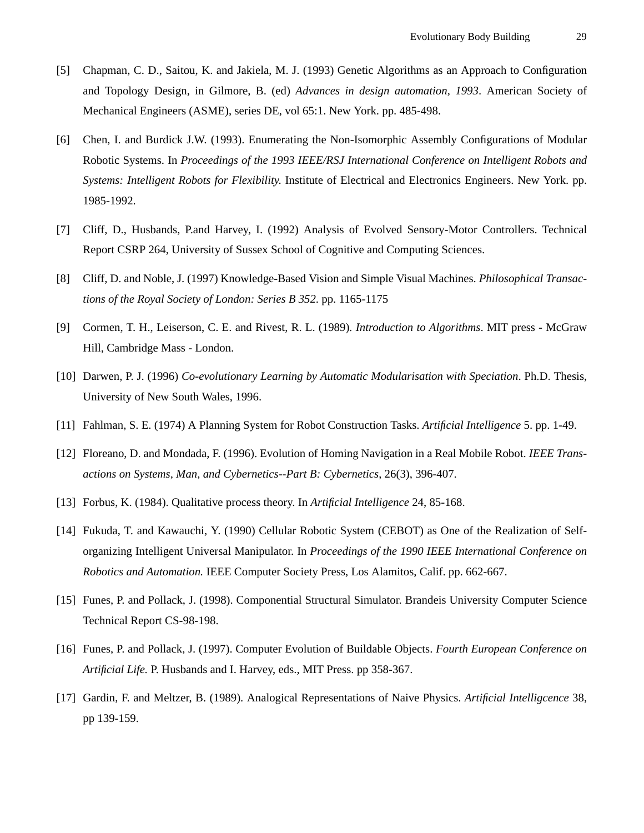- [5] Chapman, C. D., Saitou, K. and Jakiela, M. J. (1993) Genetic Algorithms as an Approach to Configuration and Topology Design, in Gilmore, B. (ed) *Advances in design automation, 1993*. American Society of Mechanical Engineers (ASME), series DE, vol 65:1. New York. pp. 485-498.
- [6] Chen, I. and Burdick J.W. (1993). Enumerating the Non-Isomorphic Assembly Configurations of Modular Robotic Systems. In *Proceedings of the 1993 IEEE/RSJ International Conference on Intelligent Robots and Systems: Intelligent Robots for Flexibility*. Institute of Electrical and Electronics Engineers. New York. pp. 1985-1992.
- [7] Cliff, D., Husbands, P.and Harvey, I. (1992) Analysis of Evolved Sensory-Motor Controllers. Technical Report CSRP 264, University of Sussex School of Cognitive and Computing Sciences.
- [8] Cliff, D. and Noble, J. (1997) Knowledge-Based Vision and Simple Visual Machines. *Philosophical Transactions of the Royal Society of London: Series B 352*. pp. 1165-1175
- [9] Cormen, T. H., Leiserson, C. E. and Rivest, R. L. (1989)*. Introduction to Algorithms*. MIT press McGraw Hill, Cambridge Mass - London.
- [10] Darwen, P. J. (1996) *Co-evolutionary Learning by Automatic Modularisation with Speciation*. Ph.D. Thesis, University of New South Wales, 1996.
- [11] Fahlman, S. E. (1974) A Planning System for Robot Construction Tasks. *Artificial Intelligence* 5. pp. 1-49.
- [12] Floreano, D. and Mondada, F. (1996). Evolution of Homing Navigation in a Real Mobile Robot. *IEEE Transactions on Systems, Man, and Cybernetics--Part B: Cybernetics*, 26(3), 396-407.
- [13] Forbus, K. (1984). Qualitative process theory. In *Artificial Intelligence* 24, 85-168.
- [14] Fukuda, T. and Kawauchi, Y. (1990) Cellular Robotic System (CEBOT) as One of the Realization of Selforganizing Intelligent Universal Manipulator. In *Proceedings of the 1990 IEEE International Conference on Robotics and Automation.* IEEE Computer Society Press, Los Alamitos, Calif. pp. 662-667.
- [15] Funes, P. and Pollack, J. (1998). Componential Structural Simulator. Brandeis University Computer Science Technical Report CS-98-198.
- [16] Funes, P. and Pollack, J. (1997). Computer Evolution of Buildable Objects. *Fourth European Conference on Artificial Life.* P. Husbands and I. Harvey, eds., MIT Press. pp 358-367.
- [17] Gardin, F. and Meltzer, B. (1989). Analogical Representations of Naive Physics. *Artificial Intelligcence* 38, pp 139-159.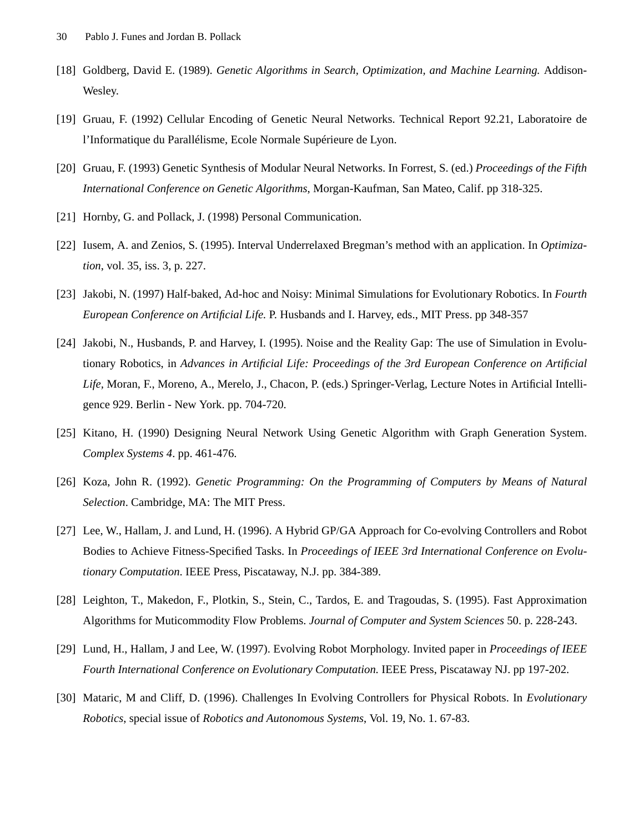- [18] Goldberg, David E. (1989). *Genetic Algorithms in Search, Optimization, and Machine Learning.* Addison-Wesley.
- [19] Gruau, F. (1992) Cellular Encoding of Genetic Neural Networks. Technical Report 92.21, Laboratoire de l'Informatique du Parallélisme, Ecole Normale Supérieure de Lyon.
- [20] Gruau, F. (1993) Genetic Synthesis of Modular Neural Networks. In Forrest, S. (ed.) *Proceedings of the Fifth International Conference on Genetic Algorithms*, Morgan-Kaufman, San Mateo, Calif. pp 318-325.
- [21] Hornby, G. and Pollack, J. (1998) Personal Communication.
- [22] Iusem, A. and Zenios, S. (1995). Interval Underrelaxed Bregman's method with an application. In *Optimization*, vol. 35, iss. 3, p. 227.
- [23] Jakobi, N. (1997) Half-baked, Ad-hoc and Noisy: Minimal Simulations for Evolutionary Robotics. In *Fourth European Conference on Artificial Life.* P. Husbands and I. Harvey, eds., MIT Press. pp 348-357
- [24] Jakobi, N., Husbands, P. and Harvey, I. (1995). Noise and the Reality Gap: The use of Simulation in Evolutionary Robotics, in *Advances in Artificial Life: Proceedings of the 3rd European Conference on Artificial Life,* Moran, F., Moreno, A., Merelo, J., Chacon, P. (eds.) Springer-Verlag, Lecture Notes in Artificial Intelligence 929. Berlin - New York. pp. 704-720.
- [25] Kitano, H. (1990) Designing Neural Network Using Genetic Algorithm with Graph Generation System. *Complex Systems 4*. pp. 461-476.
- [26] Koza, John R. (1992). *Genetic Programming: On the Programming of Computers by Means of Natural Selection*. Cambridge, MA: The MIT Press.
- [27] Lee, W., Hallam, J. and Lund, H. (1996). A Hybrid GP/GA Approach for Co-evolving Controllers and Robot Bodies to Achieve Fitness-Specified Tasks. In *Proceedings of IEEE 3rd International Conference on Evolutionary Computation*. IEEE Press, Piscataway, N.J. pp. 384-389.
- [28] Leighton, T., Makedon, F., Plotkin, S., Stein, C., Tardos, E. and Tragoudas, S. (1995). Fast Approximation Algorithms for Muticommodity Flow Problems. *Journal of Computer and System Sciences* 50. p. 228-243.
- [29] Lund, H., Hallam, J and Lee, W. (1997). Evolving Robot Morphology. Invited paper in *Proceedings of IEEE Fourth International Conference on Evolutionary Computation.* IEEE Press, Piscataway NJ. pp 197-202.
- [30] Mataric, M and Cliff, D. (1996). Challenges In Evolving Controllers for Physical Robots. In *Evolutionary Robotics*, special issue of *Robotics and Autonomous Systems*, Vol. 19, No. 1. 67-83.